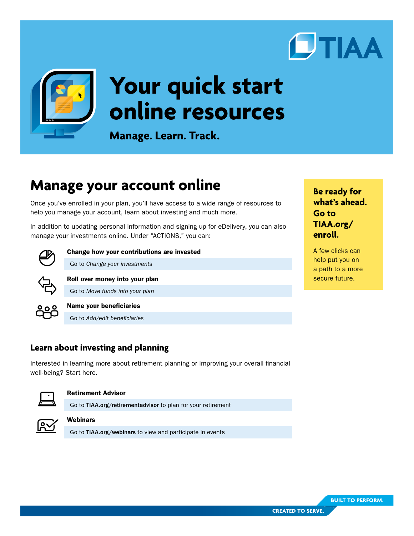



# **Your quick start online resources**

**Manage. Learn. Track.**

# **Manage your account online**

Once you've enrolled in your plan, you'll have access to a wide range of resources to help you manage your account, learn about investing and much more.

In addition to updating personal information and signing up for eDelivery, you can also manage your investments online. Under "ACTIONS," you can:



Change how your contributions are invested

Go to *Change your investments*



Go to *Move funds into your plan*

Roll over money into your plan



#### Name your beneficiaries

Go to *Add/edit beneficiaries*

# **Learn about investing and planning**

Interested in learning more about retirement planning or improving your overall financial well-being? Start here.



#### Retirement Advisor

Go to [TIAA.org/retirementadvisor](http://TIAA.org/retirementadvisor) to plan for your retirement



#### **Webinars**

Go to [TIAA.org/webinars](http://TIAA.org/webinars) to view and participate in events

**Be ready for what's ahead. Go to [TIAA.org/](http://TIAA.org/enroll) [enroll](http://TIAA.org/enroll).**

A few clicks can help put you on a path to a more secure future.

**BUILT TO PERFORM.**